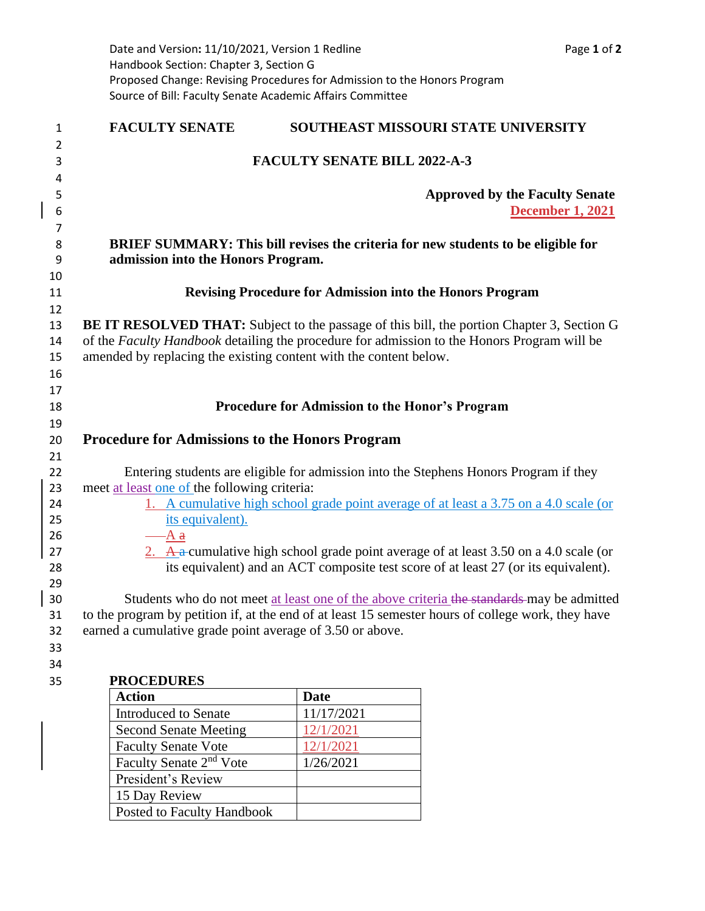|          | Date and Version: 11/10/2021, Version 1 Redline                                                                                                                              |                                                                                            | Page 1 of 2                           |
|----------|------------------------------------------------------------------------------------------------------------------------------------------------------------------------------|--------------------------------------------------------------------------------------------|---------------------------------------|
|          | Handbook Section: Chapter 3, Section G                                                                                                                                       |                                                                                            |                                       |
|          | Proposed Change: Revising Procedures for Admission to the Honors Program<br>Source of Bill: Faculty Senate Academic Affairs Committee                                        |                                                                                            |                                       |
|          |                                                                                                                                                                              |                                                                                            |                                       |
| 1        | <b>FACULTY SENATE</b>                                                                                                                                                        | SOUTHEAST MISSOURI STATE UNIVERSITY                                                        |                                       |
| 2        |                                                                                                                                                                              | <b>FACULTY SENATE BILL 2022-A-3</b>                                                        |                                       |
| 3<br>4   |                                                                                                                                                                              |                                                                                            |                                       |
| 5        |                                                                                                                                                                              |                                                                                            | <b>Approved by the Faculty Senate</b> |
| 6        |                                                                                                                                                                              |                                                                                            | <b>December 1, 2021</b>               |
| 7        |                                                                                                                                                                              |                                                                                            |                                       |
| 8<br>9   | admission into the Honors Program.                                                                                                                                           | <b>BRIEF SUMMARY: This bill revises the criteria for new students to be eligible for</b>   |                                       |
| 10<br>11 |                                                                                                                                                                              | <b>Revising Procedure for Admission into the Honors Program</b>                            |                                       |
| 12       |                                                                                                                                                                              |                                                                                            |                                       |
| 13       |                                                                                                                                                                              | BE IT RESOLVED THAT: Subject to the passage of this bill, the portion Chapter 3, Section G |                                       |
| 14       | of the Faculty Handbook detailing the procedure for admission to the Honors Program will be                                                                                  |                                                                                            |                                       |
| 15       |                                                                                                                                                                              | amended by replacing the existing content with the content below.                          |                                       |
| 16       |                                                                                                                                                                              |                                                                                            |                                       |
| 17       |                                                                                                                                                                              |                                                                                            |                                       |
| 18<br>19 | Procedure for Admission to the Honor's Program                                                                                                                               |                                                                                            |                                       |
| 20       | <b>Procedure for Admissions to the Honors Program</b>                                                                                                                        |                                                                                            |                                       |
| 21       |                                                                                                                                                                              |                                                                                            |                                       |
| 22       | Entering students are eligible for admission into the Stephens Honors Program if they                                                                                        |                                                                                            |                                       |
| 23       | meet at least one of the following criteria:                                                                                                                                 |                                                                                            |                                       |
| 24       | 1. A cumulative high school grade point average of at least a 3.75 on a 4.0 scale (or                                                                                        |                                                                                            |                                       |
| 25       | its equivalent).                                                                                                                                                             |                                                                                            |                                       |
| 26       | -A <del>a</del>                                                                                                                                                              |                                                                                            |                                       |
| 27<br>28 | 2. A a cumulative high school grade point average of at least 3.50 on a 4.0 scale (or<br>its equivalent) and an ACT composite test score of at least 27 (or its equivalent). |                                                                                            |                                       |
| 29       |                                                                                                                                                                              |                                                                                            |                                       |
| 30       |                                                                                                                                                                              | Students who do not meet at least one of the above criteria the standards may be admitted  |                                       |
| 31       | to the program by petition if, at the end of at least 15 semester hours of college work, they have                                                                           |                                                                                            |                                       |
| 32       | earned a cumulative grade point average of 3.50 or above.                                                                                                                    |                                                                                            |                                       |
| 33       |                                                                                                                                                                              |                                                                                            |                                       |
| 34       |                                                                                                                                                                              |                                                                                            |                                       |
| 35       | <b>PROCEDURES</b><br><b>Action</b>                                                                                                                                           | Date                                                                                       |                                       |
|          | <b>Introduced to Senate</b>                                                                                                                                                  | 11/17/2021                                                                                 |                                       |
|          | <b>Second Senate Meeting</b>                                                                                                                                                 | 12/1/2021                                                                                  |                                       |
|          | <b>Faculty Senate Vote</b>                                                                                                                                                   | 12/1/2021                                                                                  |                                       |
|          | Faculty Senate 2 <sup>nd</sup> Vote                                                                                                                                          | 1/26/2021                                                                                  |                                       |
|          | President's Review                                                                                                                                                           |                                                                                            |                                       |
|          | 15 Day Review                                                                                                                                                                |                                                                                            |                                       |
|          | Posted to Faculty Handbook                                                                                                                                                   |                                                                                            |                                       |
|          |                                                                                                                                                                              |                                                                                            |                                       |